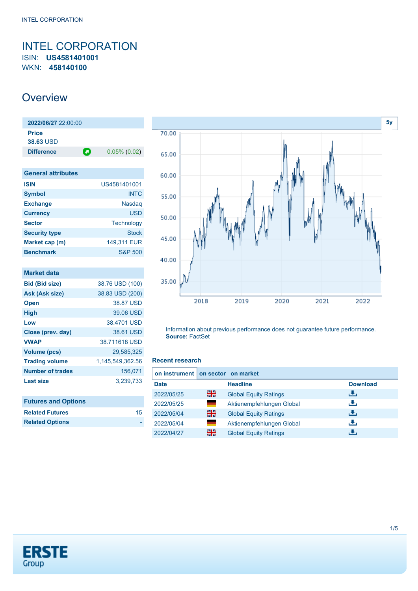## <span id="page-0-0"></span>INTEL CORPORATION ISIN: **US4581401001** WKN: **458140100**

# **Overview**

| 2022/06/27 22:00:00 |   |                 |
|---------------------|---|-----------------|
| <b>Price</b>        |   |                 |
| <b>38.63 USD</b>    |   |                 |
| <b>Difference</b>   | О | $0.05\%$ (0.02) |
|                     |   |                 |

| <b>General attributes</b> |                    |
|---------------------------|--------------------|
| <b>ISIN</b>               | US4581401001       |
| <b>Symbol</b>             | <b>INTC</b>        |
| <b>Exchange</b>           | <b>Nasdag</b>      |
| <b>Currency</b>           | USD                |
| <b>Sector</b>             | Technology         |
| <b>Security type</b>      | <b>Stock</b>       |
| Market cap (m)            | 149,311 EUR        |
| <b>Benchmark</b>          | <b>S&amp;P 500</b> |

| <b>Market data</b>         |                  |
|----------------------------|------------------|
| <b>Bid (Bid size)</b>      | 38.76 USD (100)  |
| Ask (Ask size)             | 38.83 USD (200)  |
| <b>Open</b>                | 38.87 USD        |
| <b>High</b>                | 39.06 USD        |
| Low                        | 38,4701 USD      |
| Close (prev. day)          | 38.61 USD        |
| <b>VWAP</b>                | 38.711618 USD    |
| <b>Volume (pcs)</b>        | 29,585,325       |
| <b>Trading volume</b>      | 1,145,549,362.56 |
| <b>Number of trades</b>    | 156,071          |
| Last size                  | 3,239,733        |
|                            |                  |
| <b>Futures and Options</b> |                  |
| <b>Related Futures</b>     | 15               |



Information about previous performance does not guarantee future performance. **Source:** FactSet

#### **Recent research**

| on instrument on sector on market |     |                              |      |                 |
|-----------------------------------|-----|------------------------------|------|-----------------|
| <b>Date</b>                       |     | <b>Headline</b>              |      | <b>Download</b> |
| 2022/05/25                        | 을중  | <b>Global Equity Ratings</b> | رنان |                 |
| 2022/05/25                        | a a | Aktienempfehlungen Global    | رنان |                 |
| 2022/05/04                        | 을중  | <b>Global Equity Ratings</b> | رالى |                 |
| 2022/05/04                        | ٠   | Aktienempfehlungen Global    | J.   |                 |
| 2022/04/27                        | 을중  | <b>Global Equity Ratings</b> |      |                 |



**Related Options**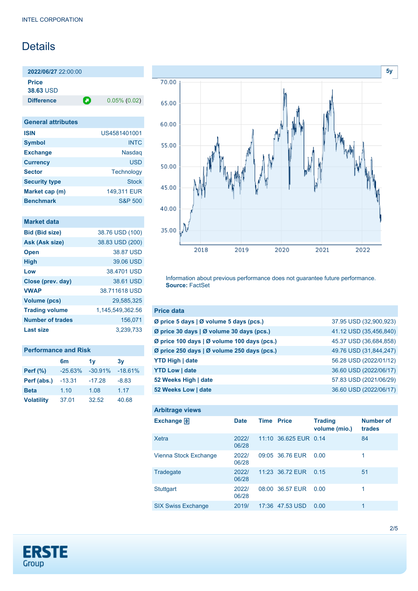# Details

**2022/06/27** 22:00:00 **Price 38.63** USD

**Difference 0.05% (0.02)** 

| <b>General attributes</b> |                    |
|---------------------------|--------------------|
| <b>ISIN</b>               | US4581401001       |
| <b>Symbol</b>             | <b>INTC</b>        |
| <b>Exchange</b>           | <b>Nasdag</b>      |
| <b>Currency</b>           | USD                |
| <b>Sector</b>             | Technology         |
| <b>Security type</b>      | Stock              |
| Market cap (m)            | 149,311 EUR        |
| <b>Benchmark</b>          | <b>S&amp;P 500</b> |

| <b>Market data</b>      |                  |
|-------------------------|------------------|
| <b>Bid (Bid size)</b>   | 38.76 USD (100)  |
| Ask (Ask size)          | 38.83 USD (200)  |
| <b>Open</b>             | 38.87 USD        |
| <b>High</b>             | 39.06 USD        |
| Low                     | 38,4701 USD      |
| Close (prev. day)       | 38.61 USD        |
| <b>VWAP</b>             | 38.711618 USD    |
| <b>Volume (pcs)</b>     | 29.585.325       |
| <b>Trading volume</b>   | 1,145,549,362.56 |
| <b>Number of trades</b> | 156,071          |
| Last size               | 3,239,733        |
|                         |                  |

| <b>Performance and Risk</b> |           |                |           |  |
|-----------------------------|-----------|----------------|-----------|--|
|                             | 6m        | 1 <sub>V</sub> | 3v        |  |
| <b>Perf (%)</b>             | $-25.63%$ | $-30.91%$      | $-18.61%$ |  |
| Perf (abs.)                 | $-13.31$  | $-17.28$       | $-8.83$   |  |
| <b>Beta</b>                 | 1.10      | 1.08           | 1.17      |  |
| <b>Volatility</b>           | 37.01     | 32.52          | 40.68     |  |



Information about previous performance does not guarantee future performance. **Source:** FactSet

| <b>Price data</b>                           |                        |
|---------------------------------------------|------------------------|
| Ø price 5 days   Ø volume 5 days (pcs.)     | 37.95 USD (32,900,923) |
| Ø price 30 days   Ø volume 30 days (pcs.)   | 41.12 USD (35,456,840) |
| Ø price 100 days   Ø volume 100 days (pcs.) | 45.37 USD (36,684,858) |
| Ø price 250 days   Ø volume 250 days (pcs.) | 49.76 USD (31,844,247) |
| <b>YTD High   date</b>                      | 56.28 USD (2022/01/12) |
| <b>YTD Low   date</b>                       | 36.60 USD (2022/06/17) |
| 52 Weeks High   date                        | 57.83 USD (2021/06/29) |
| 52 Weeks Low   date                         | 36.60 USD (2022/06/17) |

| <b>Arbitrage views</b>    |                |                   |                       |                                 |                            |
|---------------------------|----------------|-------------------|-----------------------|---------------------------------|----------------------------|
| Exchange $\Box$           | <b>Date</b>    | <b>Time Price</b> |                       | <b>Trading</b><br>volume (mio.) | <b>Number of</b><br>trades |
| <b>Xetra</b>              | 2022/<br>06/28 |                   | 11:10 36.625 EUR 0.14 |                                 | 84                         |
| Vienna Stock Exchange     | 2022/<br>06/28 |                   | 09:05 36.76 EUR       | 0.00                            | 1                          |
| Tradegate                 | 2022/<br>06/28 |                   | 11:23 36.72 EUR       | 0.15                            | 51                         |
| <b>Stuttgart</b>          | 2022/<br>06/28 |                   | 08:00 36.57 EUR       | 0.00                            | 1                          |
| <b>SIX Swiss Exchange</b> | 2019/          |                   | 17:36 47.53 USD       | 0.00                            | 1                          |

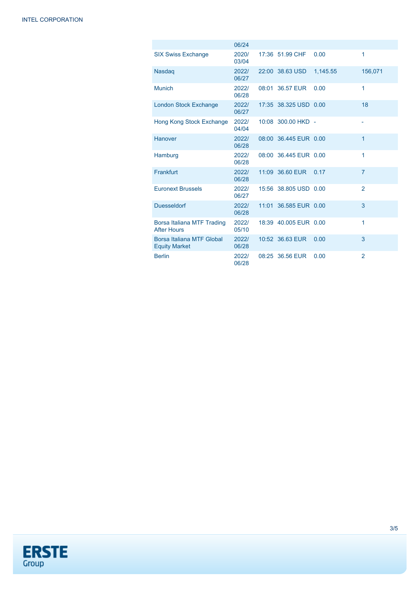|                                                   | 06/24          |                       |          |                |
|---------------------------------------------------|----------------|-----------------------|----------|----------------|
| <b>SIX Swiss Exchange</b>                         | 2020/<br>03/04 | 17:36 51.99 CHF       | 0.00     | 1              |
| Nasdaq                                            | 2022/<br>06/27 | 22:00 38.63 USD       | 1,145.55 | 156,071        |
| <b>Munich</b>                                     | 2022/<br>06/28 | 08:01 36.57 EUR       | 0.00     | 1              |
| <b>London Stock Exchange</b>                      | 2022/<br>06/27 | 17:35 38.325 USD 0.00 |          | 18             |
| Hong Kong Stock Exchange                          | 2022/<br>04/04 | 10:08 300.00 HKD -    |          |                |
| Hanover                                           | 2022/<br>06/28 | 08:00 36.445 EUR 0.00 |          | 1              |
| Hamburg                                           | 2022/<br>06/28 | 08:00 36.445 EUR 0.00 |          | 1              |
| Frankfurt                                         | 2022/<br>06/28 | 11:09 36.60 EUR       | 0.17     | $\overline{7}$ |
| <b>Euronext Brussels</b>                          | 2022/<br>06/27 | 15:56 38.805 USD 0.00 |          | $\overline{2}$ |
| <b>Duesseldorf</b>                                | 2022/<br>06/28 | 11:01 36.585 EUR 0.00 |          | 3              |
| Borsa Italiana MTF Trading<br><b>After Hours</b>  | 2022/<br>05/10 | 18:39 40.005 EUR 0.00 |          | 1              |
| Borsa Italiana MTF Global<br><b>Equity Market</b> | 2022/<br>06/28 | 10:52 36.63 EUR       | 0.00     | 3              |
| <b>Berlin</b>                                     | 2022/<br>06/28 | 08:25 36.56 EUR       | 0.00     | $\overline{2}$ |

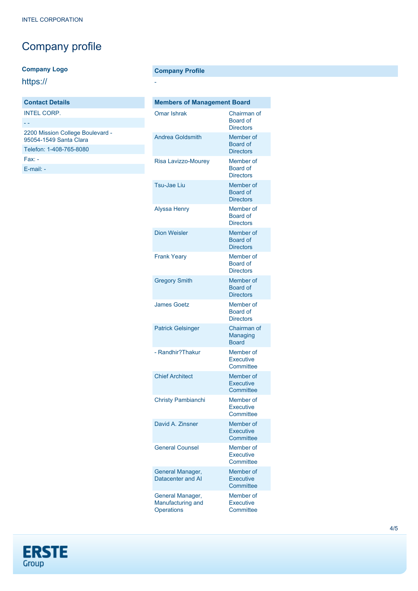# Company profile

### **Company Logo**

https://

## **Contact Details** INTEL CORP.

- - 2200 Mission College Boulevard - 95054-1549 Santa Clara Telefon: 1-408-765-8080 Fax: -

[E-mail: -](mailto:-)

### **Company Profile**

-

| <b>Members of Management Board</b>                  |                                                  |  |  |  |
|-----------------------------------------------------|--------------------------------------------------|--|--|--|
| Omar Ishrak                                         | Chairman of<br>Board of<br><b>Directors</b>      |  |  |  |
| <b>Andrea Goldsmith</b>                             | Member of<br><b>Board of</b><br><b>Directors</b> |  |  |  |
| <b>Risa Lavizzo-Mourev</b>                          | Member of<br><b>Board of</b><br><b>Directors</b> |  |  |  |
| Tsu-Jae Liu                                         | Member of<br>Board of<br><b>Directors</b>        |  |  |  |
| <b>Alyssa Henry</b>                                 | Member of<br>Board of<br><b>Directors</b>        |  |  |  |
| <b>Dion Weisler</b>                                 | Member of<br><b>Board of</b><br><b>Directors</b> |  |  |  |
| <b>Frank Yeary</b>                                  | Member of<br>Board of<br><b>Directors</b>        |  |  |  |
| <b>Gregory Smith</b>                                | Member of<br>Board of<br><b>Directors</b>        |  |  |  |
| <b>James Goetz</b>                                  | Member of<br>Board of<br><b>Directors</b>        |  |  |  |
| <b>Patrick Gelsinger</b>                            | Chairman of<br>Managing<br><b>Board</b>          |  |  |  |
| - Randhir?Thakur                                    | Member of<br><b>Executive</b><br>Committee       |  |  |  |
| <b>Chief Architect</b>                              | Member of<br><b>Executive</b><br>Committee       |  |  |  |
| Christy Pambianchi                                  | Member of<br><b>Executive</b><br>Committee       |  |  |  |
| David A Zinsner                                     | Member of<br><b>Executive</b><br>Committee       |  |  |  |
| <b>General Counsel</b>                              | Member of<br><b>Executive</b><br>Committee       |  |  |  |
| General Manager,<br>Datacenter and AI               | Member of<br>Executive<br>Committee              |  |  |  |
| General Manager,<br>Manufacturing and<br>Operations | Member of<br><b>Executive</b><br>Committee       |  |  |  |